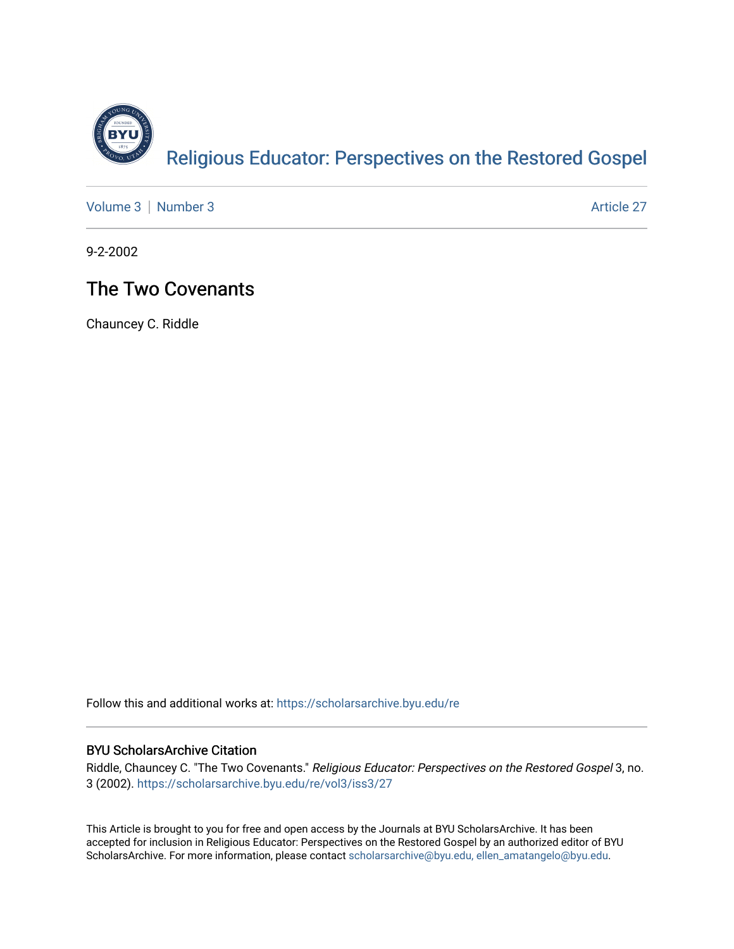

[Volume 3](https://scholarsarchive.byu.edu/re/vol3) [Number 3](https://scholarsarchive.byu.edu/re/vol3/iss3) Article 27

9-2-2002

#### The Two Covenants

Chauncey C. Riddle

Follow this and additional works at: [https://scholarsarchive.byu.edu/re](https://scholarsarchive.byu.edu/re?utm_source=scholarsarchive.byu.edu%2Fre%2Fvol3%2Fiss3%2F27&utm_medium=PDF&utm_campaign=PDFCoverPages)

#### BYU ScholarsArchive Citation

Riddle, Chauncey C. "The Two Covenants." Religious Educator: Perspectives on the Restored Gospel 3, no. 3 (2002). [https://scholarsarchive.byu.edu/re/vol3/iss3/27](https://scholarsarchive.byu.edu/re/vol3/iss3/27?utm_source=scholarsarchive.byu.edu%2Fre%2Fvol3%2Fiss3%2F27&utm_medium=PDF&utm_campaign=PDFCoverPages) 

This Article is brought to you for free and open access by the Journals at BYU ScholarsArchive. It has been accepted for inclusion in Religious Educator: Perspectives on the Restored Gospel by an authorized editor of BYU ScholarsArchive. For more information, please contact [scholarsarchive@byu.edu, ellen\\_amatangelo@byu.edu.](mailto:scholarsarchive@byu.edu,%20ellen_amatangelo@byu.edu)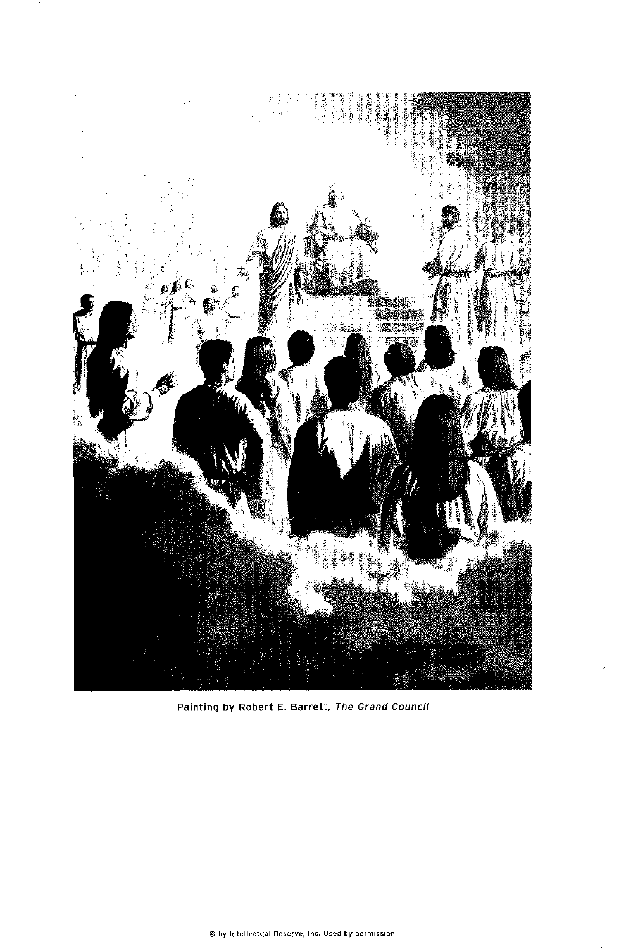

Painting by Robert E. Barrett, The Grand Council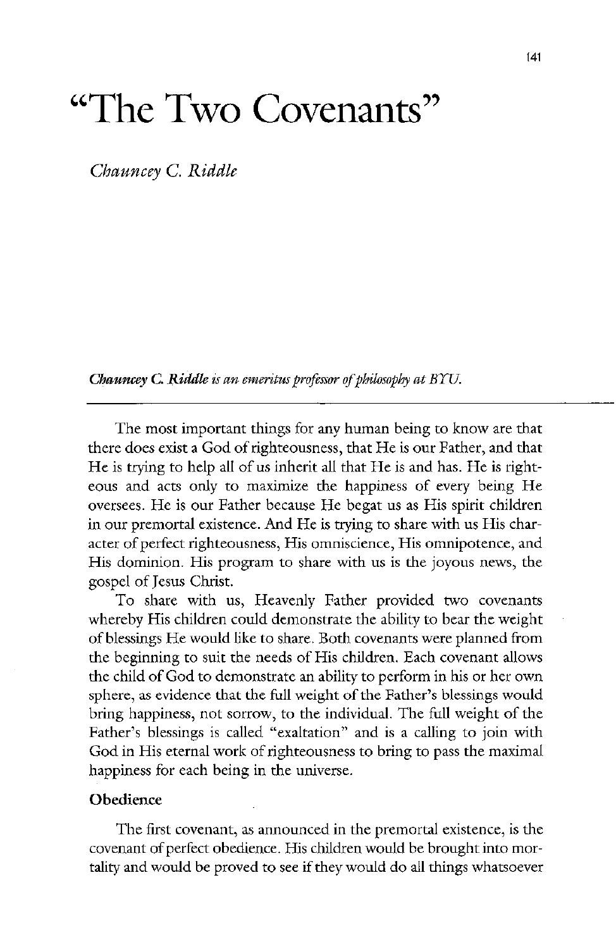# $\rm ^{44}$ The Two Covenants<sup>22</sup>

Chauncey C. Riddle

Chauncey C. Riddle is an emeritus professor of philosophy at  $B\Upsilon U$ .

The most important things for any human being to know are that there does exist a God of righteousness, that He is our Father, and that He is trying to help all of us inherit all that He is and has. He is righteous and acts only to maximize the happiness of every being He oversees. He is our Father because He begat us as His spirit children in our premortal existence. And He is trying to share with us His character of perfect righteousness, His omniscience, His omnipotence, and His dominion. His program to share with us is the joyous news, the gospel of jesus christ To share with us, Heavenly Father provided two covenants whereby His children could demonstrate the ability to bear the weight of blessings He would like to share. Both covenants were planned from the beginning to suit the needs of His children. Each covenant allows the child of god to demonstrate an ability to perform in his or her own sphere, as evidence that the full weight of the Father's blessings would bring happiness, not sorrow, to the individual. The full weight of the Father's blessings is called "exaltation" and is a calling to join with God in His eternal work of righteousness to bring to pass the maximal happiness for each being in the universe.

## **Obedience**

The first covenant, as announced in the premortal existence, is the covenant of perfect obedience. His children would be brought into mortality and would be proved to see if they would do all things whatsoever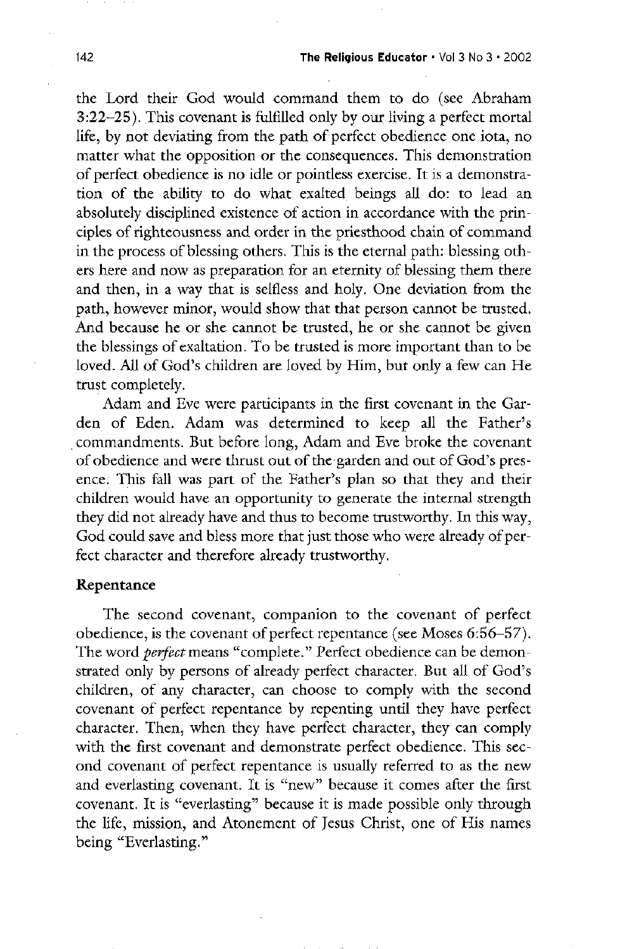the Lord their God would command them to do (see Abraham  $3:22-25$ ). This covenant is fulfilled only by our living a perfect mortal life, by not deviating from the path of perfect obedience one iota, no matter what the opposition or the consequences. This demonstration of perfect obedience is no idle or pointless exercise. It is a demonstration of the ability to do what exalted beings all do: to lead an absolutely disciplined existence of action in accordance with the principles of righteousness and order in the priesthood chain of command in the process of blessing others. This is the eternal path: blessing others here and now as preparation for an eternity of blessing them there and then, in a way that is selfless and holy. One deviation from the path, however minor, would show that that person cannot be trusted. And because he or she cannot be trusted, he or she cannot be given the blessings of exaltation. To be trusted is more important than to be loved. All of God's children are loved by Him, but only a few can He trust completely.

Adam and Eve were participants in the first covenant in the Garden of Eden. Adam was determined to keep all the Father's commandments. But before long, Adam and Eve broke the covenant of obedience and were thrust out of the garden and out of God's pres-

ence. This fall was part of the Father's plan so that they and their children would have an opportunity to generate the internal strength they did not already have and thus to become trustworthy. In this way, God could save and bless more that just those who were already of perfect character and therefore already trustworthy.

#### Repentance

The second covenant, companion to the covenant of perfect obedience, is the covenant of perfect repentance (see Moses  $6:56-57$ ). The word *perfect* means "complete." Perfect obedience can be demonstrated only by persons of already perfect character. But all of God's children, of any character, can choose to comply with the second covenant of perfect repentance by repenting until they have perfect character. Then, when they have perfect character, they can comply with the first covenant and demonstrate perfect obedience. This second covenant of perfect repentance is usually referred to as the new and everlasting covenant. It is "new" because it comes after the first covenant. It is "everlasting" because it is made possible only through the life, mission, and Atonement of Jesus Christ, one of His names being "Everlasting."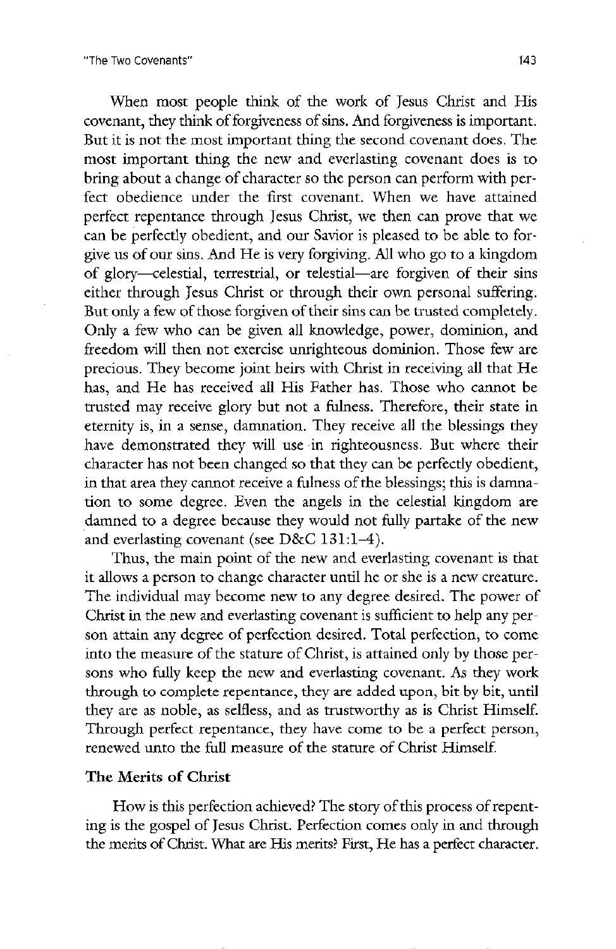When most people think of the work of Jesus Christ and His covenant, they think of forgiveness of sins. And forgiveness is important. But it is not the most important thing the second covenant does. The most important thing the new and everlasting covenant does is to bring about a change of character so the person can perform with perfect obedience under the first covenant. When we have attained perfect repentance through Jesus Christ, we then can prove that we can be perfectly obedient, and our Savior is pleased to be able to forgive us of our sins. And He is very forgiving. All who go to a kingdom of glory—celestial, terrestrial, or telestial—are forgiven of their sins either through Jesus Christ or through their own personal suffering. But only a few of those forgiven of their sins can be trusted completely. Only a few who can be given all knowledge, power, dominion, and freedom will then not exercise unrighteous dominion. Those few are precious. They become joint heirs with Christ in receiving all that He has, and He has received all His Father has. Those who cannot be trusted may receive glory but not a fulness. Therefore, their state in eternity is, in a sense, damnation. They receive all the blessings they have demonstrated they will use in righteousness. But where their character has not been changed so that they can be perfectly obedient in that area they cannot receive a fulness of the blessings; this is damnation to some degree. Even the angels in the celestial kingdom are damned to a degree because they would not fully partake of the new and everlasting covenant (see  $D&C 131: 1-4$ ). Thus, the main point of the new and everlasting covenant is that it allows a person to change character until he or she is a new creature The individual may become new to any degree desired. The power of christ in the new and everlasting covenant is sufficient to help any per son attain any degree of perfection desired. Total perfection, to come into the measure of the stature of Christ, is attained only by those persons who fully keep the new and everlasting covenant. As they work through to complete repentance, they are added upon, bit by bit, until they are as noble, as selfless, and as trustworthy as is Christ Himself. Through perfect repentance, they have come to be a perfect person, renewed unto the full measure of the stature of Christ Himself.

## The Merits of Christ

How is this perfection achieved? The story of this process of repenting is the gospel of Jesus Christ. Perfection comes only in and through the merits of Christ. What are His merits? First, He has a perfect character.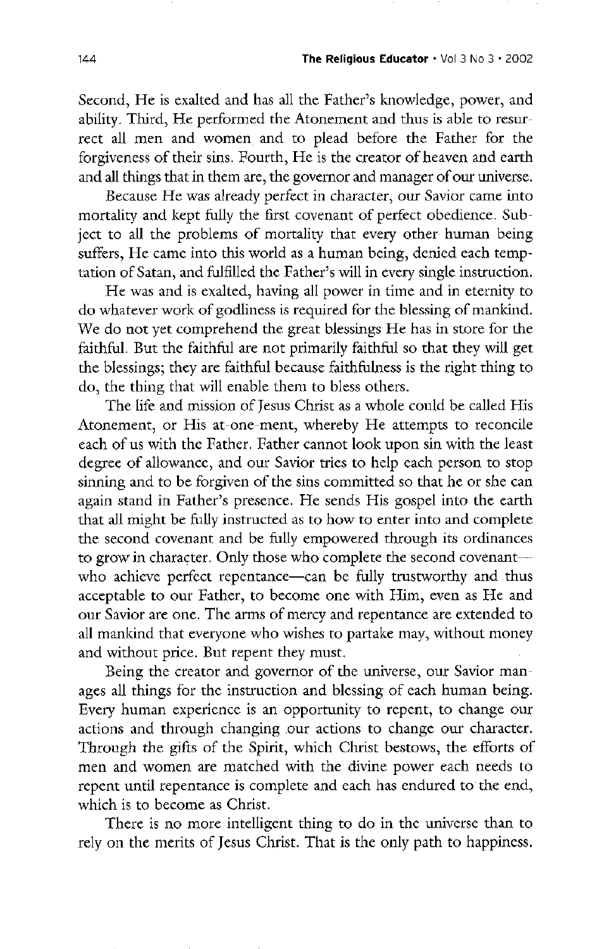Second, He is exalted and has all the Father's knowledge, power, and ability. Third, He performed the Atonement and thus is able to resurrect all men and women and to plead before the Father for the forgiveness of their sins. Fourth, He is the creator of heaven and earth and all things that in them are, the governor and manager of our universe.

Because He was already perfect in character, our Savior came into mortality and kept fully the first covenant of perfect obedience. Subject to all the problems of mortality that every other human being suffers, He came into this world as a human being, denied each temptation of Satan, and fulfilled the Father's will in every single instruction.

He was and is exalted, having all power in time and in eternity to do whatever work of godliness is required for the blessing of mankind. We do not yet comprehend the great blessings He has in store for the faithful. But the faithful are not primarily faithful so that they will get the blessings; they are faithful because faithfulness is the right thing to do, the thing that will enable them to bless others.

The life and mission of Jesus Christ as a whole could be called His Atonement, or His at-one-ment, whereby He attempts to reconcile each of us with the Father. Father cannot look upon sin with the least degree of allowance, and our Savior tries to help each person to stop sinning and to be forgiven of the sins committed so that he or she can again stand in Father's presence. He sends His gospel into the earth that all might be fully instructed as to how to enter into and complete the second covenant and be fully empowered through its ordinances to grow in character. Only those who complete the second covenant who achieve perfect repentance—can be fully trustworthy and thus acceptable to our Father, to become one with Him, even as He and our Savior are one. The arms of mercy and repentance are extended to all mankind that everyone who wishes to partake may, without money and without price. But repent they must. Being the creator and governor of the universe, our Savior manages all things for the instruction and blessing of each human being. Every human experience is an opportunity to repent, to change our actions and through changing our actions to change our character. Through the gifts of the Spirit, which Christ bestows, the efforts of men and women are matched with the divine power each needs to repent until repentance is complete and each has endured to the end, which is to become as Christ.

There is no more intelligent thing to do in the universe than to rely on the merits of Jesus Christ. That is the only path to happiness.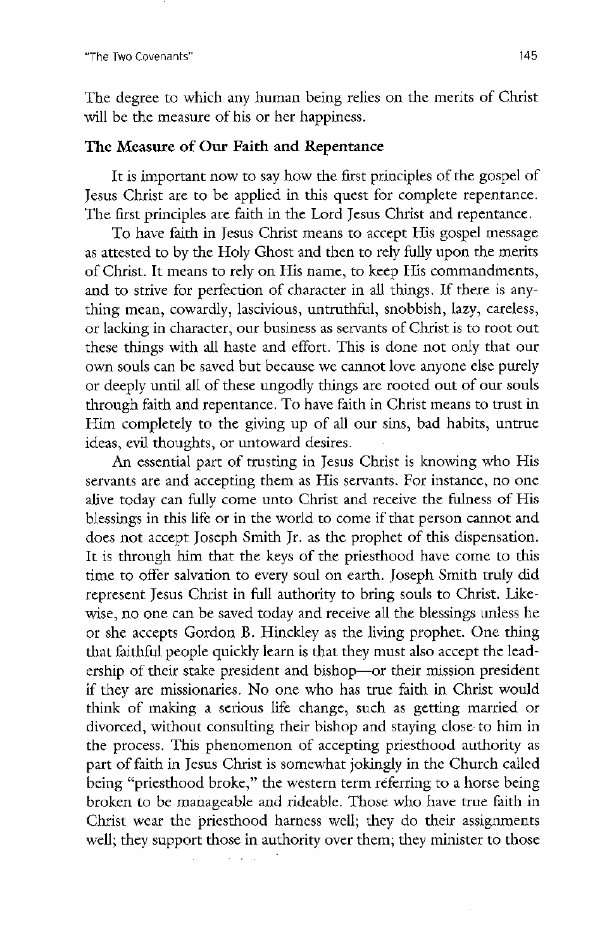The degree to which any human being relies on the merits of Christ will be the measure of his or her happiness.

## The Measure of Our Faith and Repentance

It is important now to say how the first principles of the gospel of Jesus Christ are to be applied in this quest for complete repentance. The first principles are faith in the Lord Jesus Christ and repentance.

To have faith in Jesus Christ means to accept His gospel message as attested to by the Holy Ghost and then to rely fully upon the merits of Christ. It means to rely on His name, to keep His commandments, and to strive for perfection of character in all things. If there is anything mean, cowardly, lascivious, untruthful, snobbish, lazy, careless, or lacking in character, our business as servants of Christ is to root out these things with all haste and effort. This is done not only that our own souls can be saved but because we cannot love anyone else purely or deeply until all of these ungodly things are rooted out of our souls through faith and repentance. To have faith in Christ means to trust in Him completely to the giving up of all our sins, bad habits, untrue ideas, evil thoughts, or untoward desires.

An essential part of trusting in Jesus Christ is knowing who His

servants are and accepting them as His servants. For instance, no one alive today can fully come unto Christ and receive the fulness of His blessings in this life or in the world to come if that person cannot and does not accept Joseph Smith Jr. as the prophet of this dispensation. It is through him that the keys of the priesthood have come to this time to offer salvation to every soul on earth. Joseph Smith truly did represent Jesus Christ in full authority to bring souls to Christ. Likewise, no one can be saved today and receive all the blessings unless he or she accepts Gordon B. Hinckley as the living prophet. One thing that faithful people quickly learn is that they must also accept the leadership of their stake president and bishop—or their mission president if they are missionaries. No one who has true faith in Christ would think of making a serious life change, such as getting married or divorced, without consulting their bishop and staying close to him in the process. This phenomenon of accepting priesthood authority as part of faith in jesus christ is somewhat jokingly in the church called being "priesthood broke," the western term referring to a horse being broken to be manageable and rideable. Those who have true faith in Christ wear the priesthood harness well; they do their assignments well; they support those in authority over them; they minister to those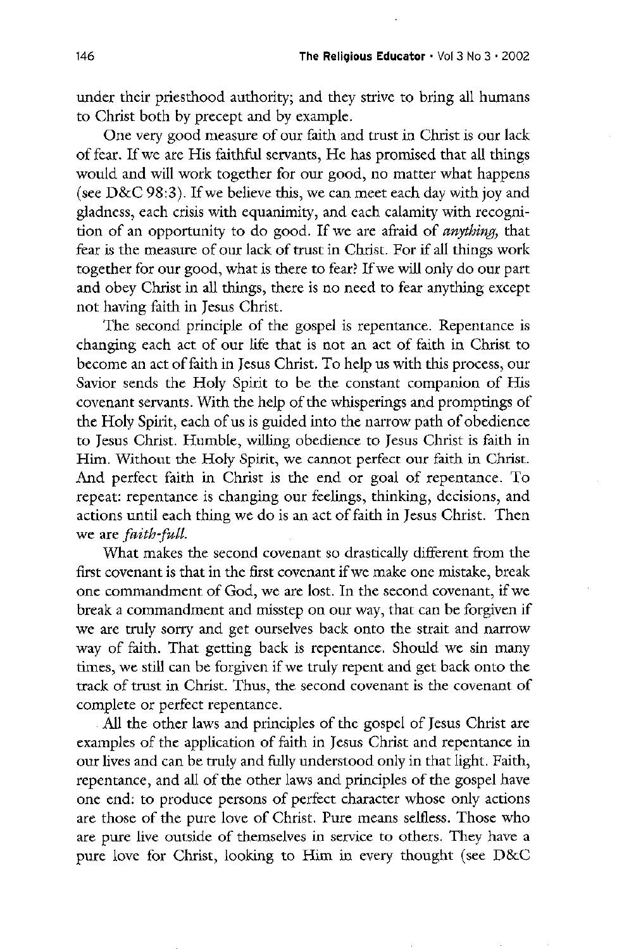under their priesthood authority; and they strive to bring all humans to christ both by precept and by example

One very good measure of our faith and trust in Christ is our lack of fear. If we are His faithful servants, He has promised that all things would and will work together for our good, no matter what happens (see  $D&C$  98:3). If we believe this, we can meet each day with joy and gladness, each crisis with equanimity, and each calamity with recognition of an opportunity to do good. If we are afraid of *anything*, that fear is the measure of our lack of trust in Christ. For if all things work together for our good, what is there to fear? If we will only do our part and obey Christ in all things, there is no need to fear anything except not having faith in jesus christ

The second principle of the gospel is repentance. Repentance is changing each act of our life that is not an act of faith in christ to become an act of faith in Jesus Christ. To help us with this process, our Savior sends the Holy Spirit to be the constant companion of His covenant servants. With the help of the whisperings and promptings of the Holy Spirit, each of us is guided into the narrow path of obedience to Jesus Christ. Humble, willing obedience to Jesus Christ is faith in Him. Without the Holy Spirit, we cannot perfect our faith in Christ. And perfect faith in Christ is the end or goal of repentance. To repeat: repentance is changing our feelings, thinking, decisions, and actions until each thing we do is an act of faith in Jesus Christ. Then we are *faith-full*. what makes the second covenant so drastically different from the first covenant is that in the first covenant if we make one mistake, break one commandment of God, we are lost. In the second covenant, if we break a commandment and misstep on our way, that can be forgiven if we are truly sorry and get ourselves back onto the strait and narrow way of faith. That getting back is repentance. Should we sin many times, we still can be forgiven if we truly repent and get back onto the track of trust in Christ. Thus, the second covenant is the covenant of complete or perfect repentance All the other laws and principles of the gospel of Jesus Christ are examples of the application of faith in jesus christ and repentance in our lives and can be truly and fully understood only in that light. Faith, repentance, and all of the other laws and principles of the gospel have one end: to produce persons of perfect character whose only actions are those of the pure love of Christ. Pure means selfless. Those who are pure live outside of themselves in service to others. They have a pure love for Christ, looking to Him in every thought (see  $D&C$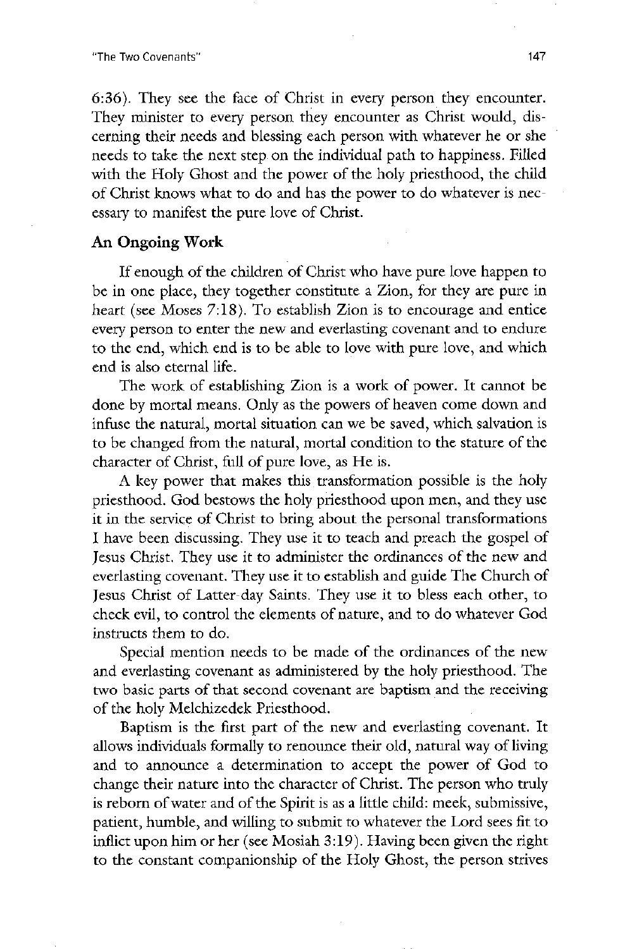the two covenants 147

 $6:36$ ). They see the face of Christ in every person they encounter. They minister to every person they encounter as Christ would, discerning their needs and blessing each person with whatever he or she needs to take the next step on the individual path to happiness. Filled with the Holy Ghost and the power of the holy priesthood, the child of christ knows what to do and has the power to do whatever is nec essary to manifest the pure love of christ

#### An Ongoing Work

If enough of the children of Christ who have pure love happen to be in one place, they together constitute a Zion, for they are pure in heart (see Moses  $7:18$ ). To establish Zion is to encourage and entice every person to enter the new and everlasting covenant and to endure to the end, which end is to be able to love with pure love, and which end is also eternal life

The work of establishing Zion is a work of power. It cannot be done by mortal means. Only as the powers of heaven come down and infuse the natural, mortal situation can we be saved, which salvation is to be changed from the natural, mortal condition to the stature of the character of Christ, full of pure love, as He is. A key power that makes this transformation possible is the holy priesthood. God bestows the holy priesthood upon men, and they use it in the service of christ to bring about the personal transformations I have been discussing. They use it to teach and preach the gospel of Jesus Christ. They use it to administer the ordinances of the new and everlasting covenant. They use it to establish and guide The Church of Jesus Christ of Latter-day Saints. They use it to bless each other, to check evil, to control the elements of nature, and to do whatever God instructs them to do

special mention needs to be made of the ordinances of the new and everlasting covenant as administered by the holy priesthood. The two basic parts of that second covenant are baptism and the receiving of the holy Melchizedek Priesthood.

Baptism is the first part of the new and everlasting covenant. It allows individuals formally to renounce their old, natural way of living and to announce a determination to accept the power of God to change their nature into the character of Christ. The person who truly is reborn of water and of the Spirit is as a little child: meek, submissive, patient, humble, and willing to submit to whatever the Lord sees fit to inflict upon him or her (see Mosiah  $3:19$ ). Having been given the right to the constant companionship of the Holy Ghost, the person strives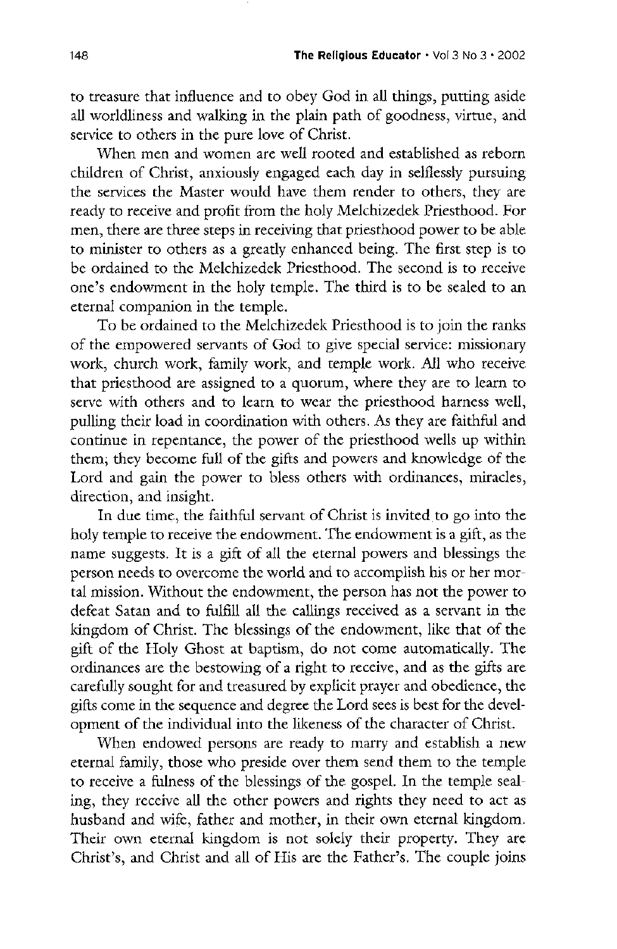to treasure that influence and to obey God in all things, putting aside all worldliness and walking in the plain path of goodness, virtue, and service to others in the pure love of Christ.

when men and women are well rooted and established as reborn children of Christ, anxiously engaged each day in selflessly pursuing the services the Master would have them render to others, they are ready to receive and profit from the holy Melchizedek Priesthood. For men, there are three steps in receiving that priesthood power to be able to minister to others as a greatly enhanced being. The first step is to be ordained to the Melchizedek Priesthood. The second is to receive one's endowment in the holy temple. The third is to be sealed to an eternal companion in the temple

To be ordained to the Melchizedek Priesthood is to join the ranks of the empowered servants of God to give special service: missionary work, church work, family work, and temple work. All who receive that priesthood are assigned to a quorum, where they are to learn to serve with others and to learn to wear the priesthood harness well, pulling their load in coordination with others As they are faithful and continue in repentance, the power of the priesthood wells up within them; they become full of the gifts and powers and knowledge of the Lord and gain the power to bless others with ordinances, miracles, direction, and insight. In due time, the faithful servant of Christ is invited to go into the holy temple to receive the endowment. The endowment is a gift, as the name suggests. It is a gift of all the eternal powers and blessings the person needs to overcome the world and to accomplish his or her mor tal mission. Without the endowment, the person has not the power to defeat satan and to fulfill all the callings received as a servant in the kingdom of Christ. The blessings of the endowment, like that of the gift of the Holy Ghost at baptism, do not come automatically. The ordinances are the bestowing of a right to receive, and as the gifts are carefully sought for and treasured by explicit prayer and obedience, the gifts come in the sequence and degree the lord sees is best for the development of the individual into the likeness of the character of christ when endowed persons are ready to marry and establish a new eternal family, those who preside over them send them to the temple to receive a fulness of the blessings of the gospel. In the temple sealing, they receive all the other powers and rights they need to act as husband and wife, father and mother, in their own eternal kingdom. Their own eternal kingdom is not solely their property. They are Christ's, and Christ and all of His are the Father's. The couple joins